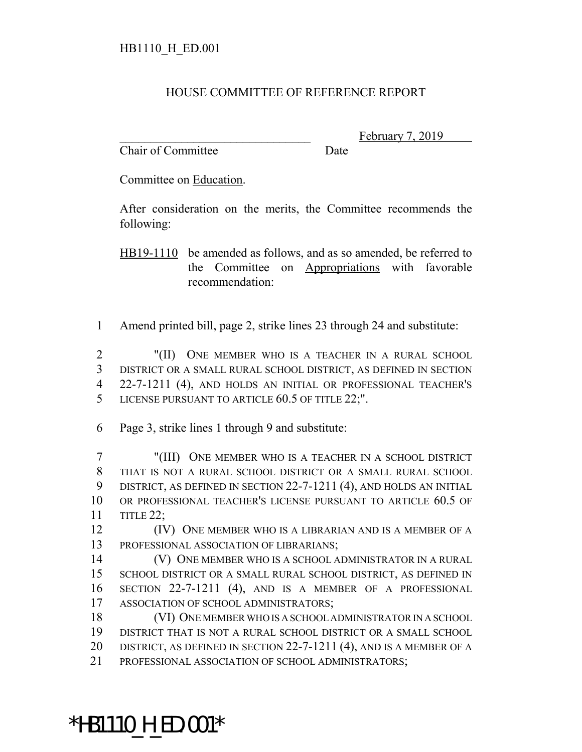## HOUSE COMMITTEE OF REFERENCE REPORT

Chair of Committee Date

February 7, 2019

Committee on Education.

After consideration on the merits, the Committee recommends the following:

HB19-1110 be amended as follows, and as so amended, be referred to the Committee on Appropriations with favorable recommendation:

Amend printed bill, page 2, strike lines 23 through 24 and substitute:

 "(II) ONE MEMBER WHO IS A TEACHER IN A RURAL SCHOOL DISTRICT OR A SMALL RURAL SCHOOL DISTRICT, AS DEFINED IN SECTION 22-7-1211 (4), AND HOLDS AN INITIAL OR PROFESSIONAL TEACHER'S LICENSE PURSUANT TO ARTICLE 60.5 OF TITLE 22;".

Page 3, strike lines 1 through 9 and substitute:

 "(III) ONE MEMBER WHO IS A TEACHER IN A SCHOOL DISTRICT THAT IS NOT A RURAL SCHOOL DISTRICT OR A SMALL RURAL SCHOOL DISTRICT, AS DEFINED IN SECTION 22-7-1211 (4), AND HOLDS AN INITIAL OR PROFESSIONAL TEACHER'S LICENSE PURSUANT TO ARTICLE 60.5 OF TITLE 22;

 (IV) ONE MEMBER WHO IS A LIBRARIAN AND IS A MEMBER OF A PROFESSIONAL ASSOCIATION OF LIBRARIANS;

 (V) ONE MEMBER WHO IS A SCHOOL ADMINISTRATOR IN A RURAL SCHOOL DISTRICT OR A SMALL RURAL SCHOOL DISTRICT, AS DEFINED IN SECTION 22-7-1211 (4), AND IS A MEMBER OF A PROFESSIONAL ASSOCIATION OF SCHOOL ADMINISTRATORS;

 (VI) ONE MEMBER WHO IS A SCHOOL ADMINISTRATOR IN A SCHOOL DISTRICT THAT IS NOT A RURAL SCHOOL DISTRICT OR A SMALL SCHOOL 20 DISTRICT, AS DEFINED IN SECTION 22-7-1211 (4), AND IS A MEMBER OF A

PROFESSIONAL ASSOCIATION OF SCHOOL ADMINISTRATORS;

## \*HB1110\_H\_ED.001\*